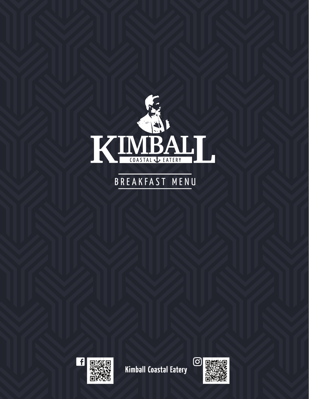

## BREAKFAST MENU



**Kimball Coastal Eatery**